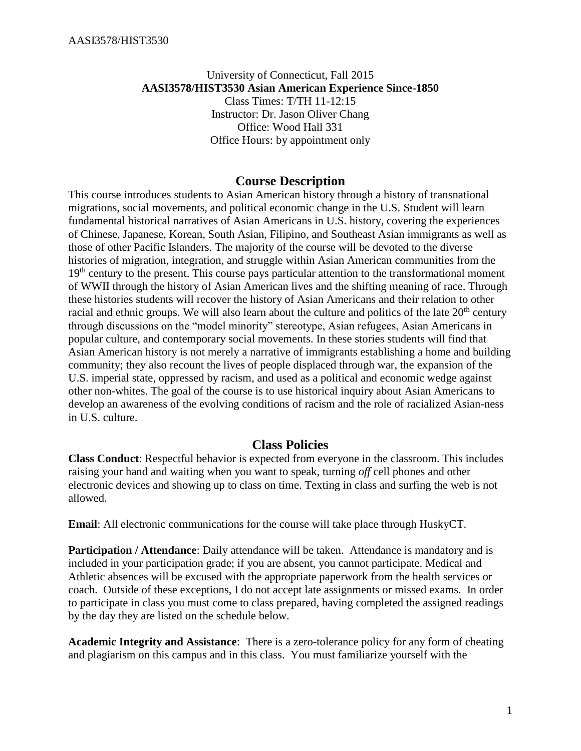#### University of Connecticut, Fall 2015 **AASI3578/HIST3530 Asian American Experience Since-1850** Class Times: T/TH 11-12:15 Instructor: Dr. Jason Oliver Chang Office: Wood Hall 331 Office Hours: by appointment only

## **Course Description**

This course introduces students to Asian American history through a history of transnational migrations, social movements, and political economic change in the U.S. Student will learn fundamental historical narratives of Asian Americans in U.S. history, covering the experiences of Chinese, Japanese, Korean, South Asian, Filipino, and Southeast Asian immigrants as well as those of other Pacific Islanders. The majority of the course will be devoted to the diverse histories of migration, integration, and struggle within Asian American communities from the 19<sup>th</sup> century to the present. This course pays particular attention to the transformational moment of WWII through the history of Asian American lives and the shifting meaning of race. Through these histories students will recover the history of Asian Americans and their relation to other racial and ethnic groups. We will also learn about the culture and politics of the late 20<sup>th</sup> century through discussions on the "model minority" stereotype, Asian refugees, Asian Americans in popular culture, and contemporary social movements. In these stories students will find that Asian American history is not merely a narrative of immigrants establishing a home and building community; they also recount the lives of people displaced through war, the expansion of the U.S. imperial state, oppressed by racism, and used as a political and economic wedge against other non-whites. The goal of the course is to use historical inquiry about Asian Americans to develop an awareness of the evolving conditions of racism and the role of racialized Asian-ness in U.S. culture.

### **Class Policies**

**Class Conduct**: Respectful behavior is expected from everyone in the classroom. This includes raising your hand and waiting when you want to speak, turning *off* cell phones and other electronic devices and showing up to class on time. Texting in class and surfing the web is not allowed.

**Email**: All electronic communications for the course will take place through HuskyCT.

**Participation / Attendance**: Daily attendance will be taken. Attendance is mandatory and is included in your participation grade; if you are absent, you cannot participate. Medical and Athletic absences will be excused with the appropriate paperwork from the health services or coach. Outside of these exceptions, I do not accept late assignments or missed exams. In order to participate in class you must come to class prepared, having completed the assigned readings by the day they are listed on the schedule below.

**Academic Integrity and Assistance**: There is a zero-tolerance policy for any form of cheating and plagiarism on this campus and in this class. You must familiarize yourself with the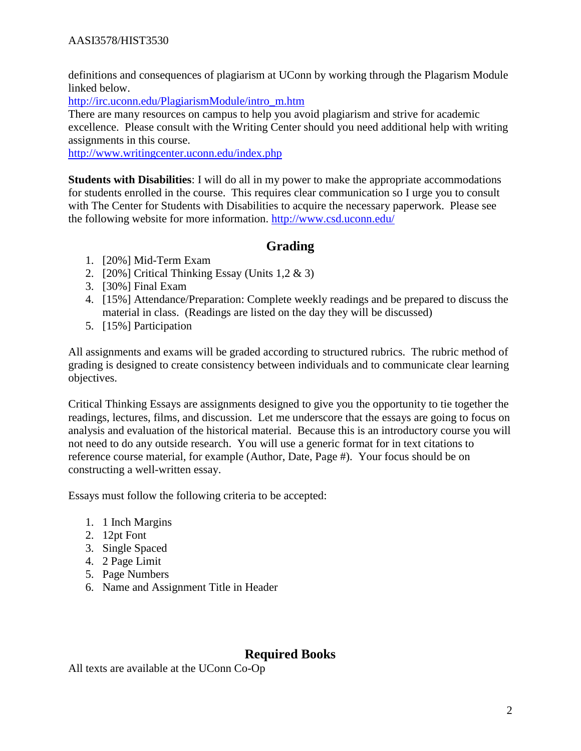definitions and consequences of plagiarism at UConn by working through the Plagarism Module linked below.

[http://irc.uconn.edu/PlagiarismModule/intro\\_m.htm](http://irc.uconn.edu/PlagiarismModule/intro_m.htm)

There are many resources on campus to help you avoid plagiarism and strive for academic excellence. Please consult with the Writing Center should you need additional help with writing assignments in this course.

<http://www.writingcenter.uconn.edu/index.php>

**Students with Disabilities**: I will do all in my power to make the appropriate accommodations for students enrolled in the course. This requires clear communication so I urge you to consult with The Center for Students with Disabilities to acquire the necessary paperwork. Please see the following website for more information.<http://www.csd.uconn.edu/>

# **Grading**

- 1. [20%] Mid-Term Exam
- 2. [20%] Critical Thinking Essay (Units 1,2 & 3)
- 3. [30%] Final Exam
- 4. [15%] Attendance/Preparation: Complete weekly readings and be prepared to discuss the material in class. (Readings are listed on the day they will be discussed)
- 5. [15%] Participation

All assignments and exams will be graded according to structured rubrics. The rubric method of grading is designed to create consistency between individuals and to communicate clear learning objectives.

Critical Thinking Essays are assignments designed to give you the opportunity to tie together the readings, lectures, films, and discussion. Let me underscore that the essays are going to focus on analysis and evaluation of the historical material. Because this is an introductory course you will not need to do any outside research. You will use a generic format for in text citations to reference course material, for example (Author, Date, Page #). Your focus should be on constructing a well-written essay.

Essays must follow the following criteria to be accepted:

- 1. 1 Inch Margins
- 2. 12pt Font
- 3. Single Spaced
- 4. 2 Page Limit
- 5. Page Numbers
- 6. Name and Assignment Title in Header

# **Required Books**

All texts are available at the UConn Co-Op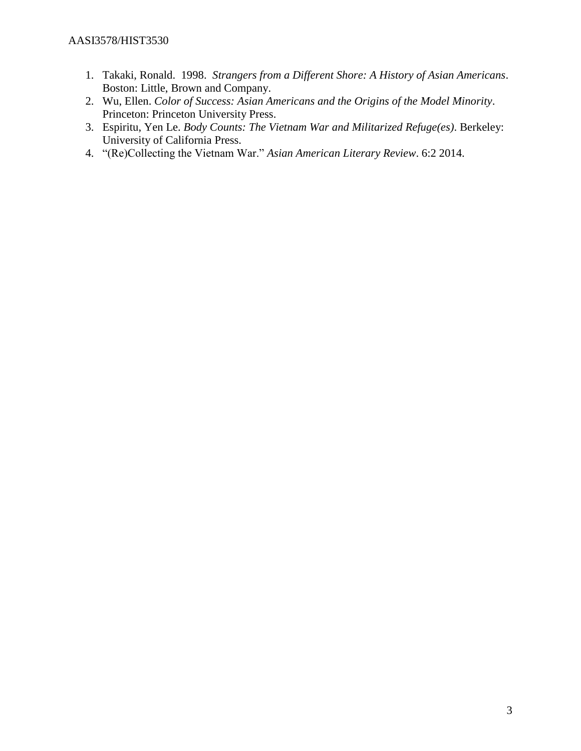#### AASI3578/HIST3530

- 1. Takaki, Ronald. 1998. *Strangers from a Different Shore: A History of Asian Americans*. Boston: Little, Brown and Company.
- 2. Wu, Ellen. *Color of Success: Asian Americans and the Origins of the Model Minority*. Princeton: Princeton University Press.
- 3. Espiritu, Yen Le. *Body Counts: The Vietnam War and Militarized Refuge(es)*. Berkeley: University of California Press.
- 4. "(Re)Collecting the Vietnam War." *Asian American Literary Review*. 6:2 2014.